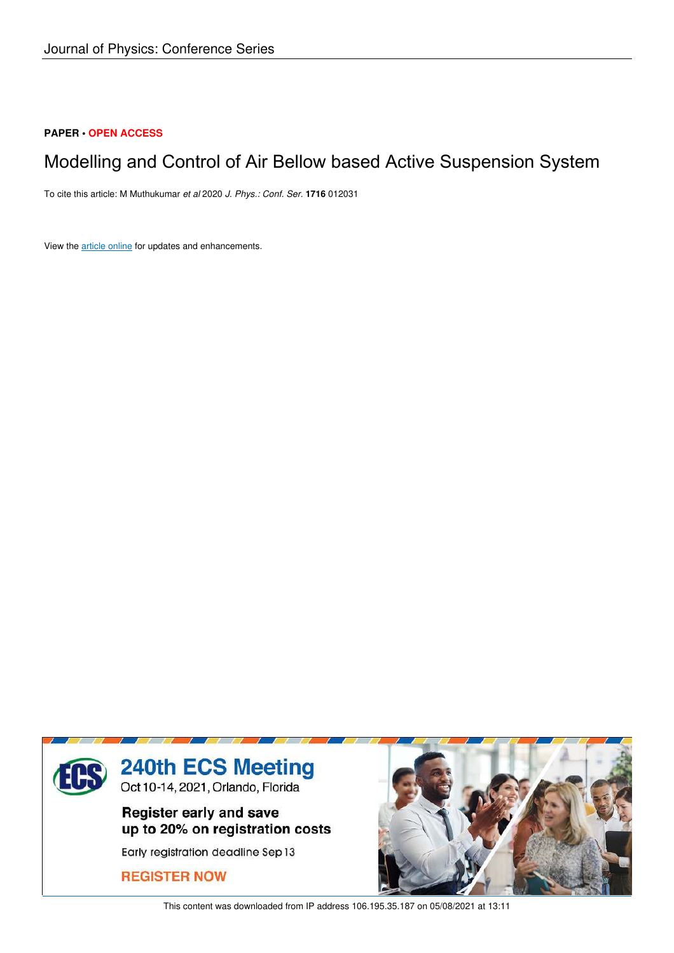# **PAPER • OPEN ACCESS**

# Modelling and Control of Air Bellow based Active Suspension System

To cite this article: M Muthukumar *et al* 2020 *J. Phys.: Conf. Ser.* **1716** 012031

View the article online for updates and enhancements.



This content was downloaded from IP address 106.195.35.187 on 05/08/2021 at 13:11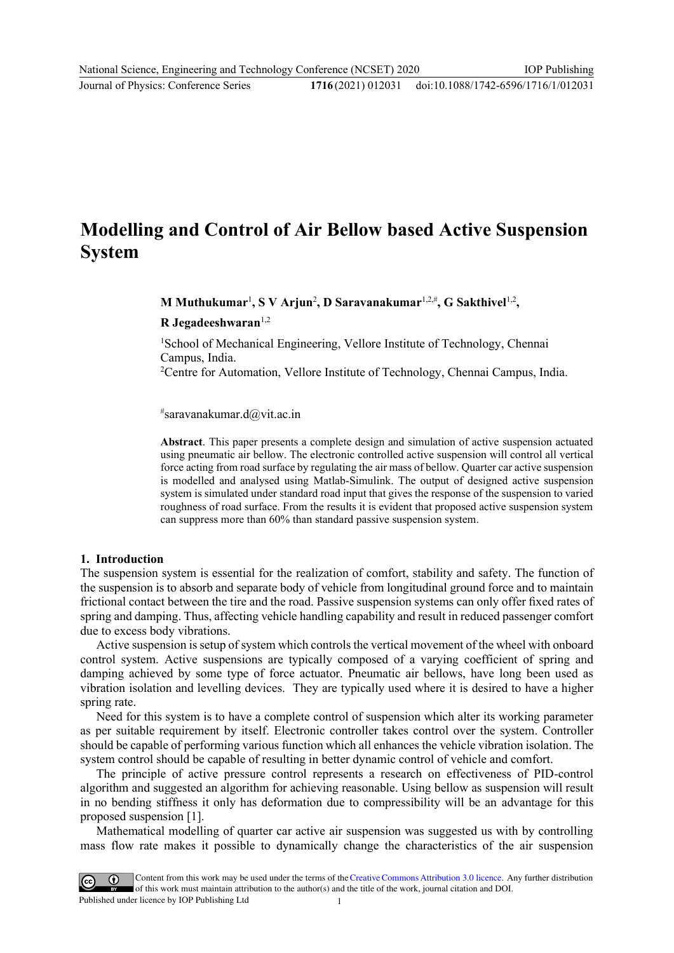#### doi:10.1088/1742-6596/1716/1/012031

# **Modelling and Control of Air Bellow based Active Suspension System**

**M** Muthukumar<sup>1</sup>, S V Arjun<sup>2</sup>, D Saravanakumar<sup>1,2,#</sup>, G Sakthivel<sup>1,2</sup>,

**R Jegadeeshwaran**1,2

<sup>1</sup>School of Mechanical Engineering, Vellore Institute of Technology, Chennai Campus, India.

<sup>2</sup>Centre for Automation, Vellore Institute of Technology, Chennai Campus, India.

# saravanakumar.d@vit.ac.in

**Abstract**. This paper presents a complete design and simulation of active suspension actuated using pneumatic air bellow. The electronic controlled active suspension will control all vertical force acting from road surface by regulating the air mass of bellow. Quarter car active suspension is modelled and analysed using Matlab-Simulink. The output of designed active suspension system is simulated under standard road input that gives the response of the suspension to varied roughness of road surface. From the results it is evident that proposed active suspension system can suppress more than 60% than standard passive suspension system.

#### **1. Introduction**

The suspension system is essential for the realization of comfort, stability and safety. The function of the suspension is to absorb and separate body of vehicle from longitudinal ground force and to maintain frictional contact between the tire and the road. Passive suspension systems can only offer fixed rates of spring and damping. Thus, affecting vehicle handling capability and result in reduced passenger comfort due to excess body vibrations.

Active suspension is setup of system which controls the vertical movement of the wheel with onboard control system. Active suspensions are typically composed of a varying coefficient of spring and damping achieved by some type of force actuator. Pneumatic air bellows, have long been used as vibration isolation and levelling devices. They are typically used where it is desired to have a higher spring rate.

Need for this system is to have a complete control of suspension which alter its working parameter as per suitable requirement by itself. Electronic controller takes control over the system. Controller should be capable of performing various function which all enhances the vehicle vibration isolation. The system control should be capable of resulting in better dynamic control of vehicle and comfort.

The principle of active pressure control represents a research on effectiveness of PID-control algorithm and suggested an algorithm for achieving reasonable. Using bellow as suspension will result in no bending stiffness it only has deformation due to compressibility will be an advantage for this proposed suspension [1].

Mathematical modelling of quarter car active air suspension was suggested us with by controlling mass flow rate makes it possible to dynamically change the characteristics of the air suspension

Content from this work may be used under the terms of the Creative Commons Attribution 3.0 licence. Any further distribution of this work must maintain attribution to the author(s) and the title of the work, journal citation and DOI. Published under licence by IOP Publishing Ltd 1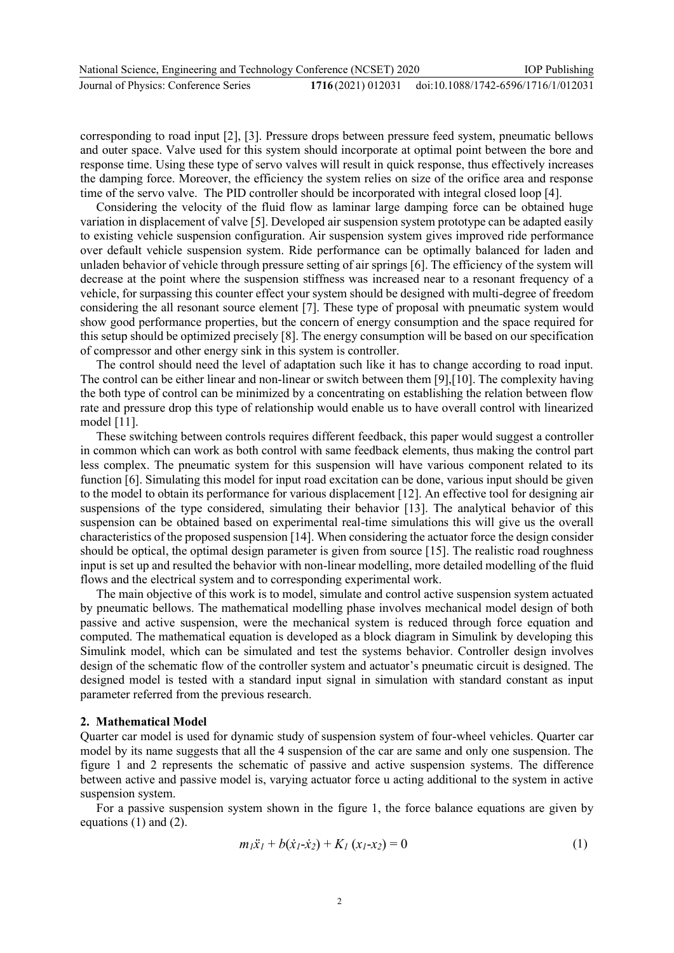corresponding to road input [2], [3]. Pressure drops between pressure feed system, pneumatic bellows and outer space. Valve used for this system should incorporate at optimal point between the bore and response time. Using these type of servo valves will result in quick response, thus effectively increases the damping force. Moreover, the efficiency the system relies on size of the orifice area and response time of the servo valve. The PID controller should be incorporated with integral closed loop [4].

Considering the velocity of the fluid flow as laminar large damping force can be obtained huge variation in displacement of valve [5]. Developed air suspension system prototype can be adapted easily to existing vehicle suspension configuration. Air suspension system gives improved ride performance over default vehicle suspension system. Ride performance can be optimally balanced for laden and unladen behavior of vehicle through pressure setting of air springs [6]. The efficiency of the system will decrease at the point where the suspension stiffness was increased near to a resonant frequency of a vehicle, for surpassing this counter effect your system should be designed with multi-degree of freedom considering the all resonant source element [7]. These type of proposal with pneumatic system would show good performance properties, but the concern of energy consumption and the space required for this setup should be optimized precisely [8]. The energy consumption will be based on our specification of compressor and other energy sink in this system is controller.

The control should need the level of adaptation such like it has to change according to road input. The control can be either linear and non-linear or switch between them [9],[10]. The complexity having the both type of control can be minimized by a concentrating on establishing the relation between flow rate and pressure drop this type of relationship would enable us to have overall control with linearized model [11].

These switching between controls requires different feedback, this paper would suggest a controller in common which can work as both control with same feedback elements, thus making the control part less complex. The pneumatic system for this suspension will have various component related to its function [6]. Simulating this model for input road excitation can be done, various input should be given to the model to obtain its performance for various displacement [12]. An effective tool for designing air suspensions of the type considered, simulating their behavior [13]. The analytical behavior of this suspension can be obtained based on experimental real-time simulations this will give us the overall characteristics of the proposed suspension [14]. When considering the actuator force the design consider should be optical, the optimal design parameter is given from source [15]. The realistic road roughness input is set up and resulted the behavior with non-linear modelling, more detailed modelling of the fluid flows and the electrical system and to corresponding experimental work.

The main objective of this work is to model, simulate and control active suspension system actuated by pneumatic bellows. The mathematical modelling phase involves mechanical model design of both passive and active suspension, were the mechanical system is reduced through force equation and computed. The mathematical equation is developed as a block diagram in Simulink by developing this Simulink model, which can be simulated and test the systems behavior. Controller design involves design of the schematic flow of the controller system and actuator's pneumatic circuit is designed. The designed model is tested with a standard input signal in simulation with standard constant as input parameter referred from the previous research.

### **2. Mathematical Model**

Quarter car model is used for dynamic study of suspension system of four-wheel vehicles. Quarter car model by its name suggests that all the 4 suspension of the car are same and only one suspension. The figure 1 and 2 represents the schematic of passive and active suspension systems. The difference between active and passive model is, varying actuator force u acting additional to the system in active suspension system.

For a passive suspension system shown in the figure 1, the force balance equations are given by equations (1) and (2).

$$
m_1\ddot{x}_1 + b(\dot{x}_1 - \dot{x}_2) + K_1(x_1 - x_2) = 0 \tag{1}
$$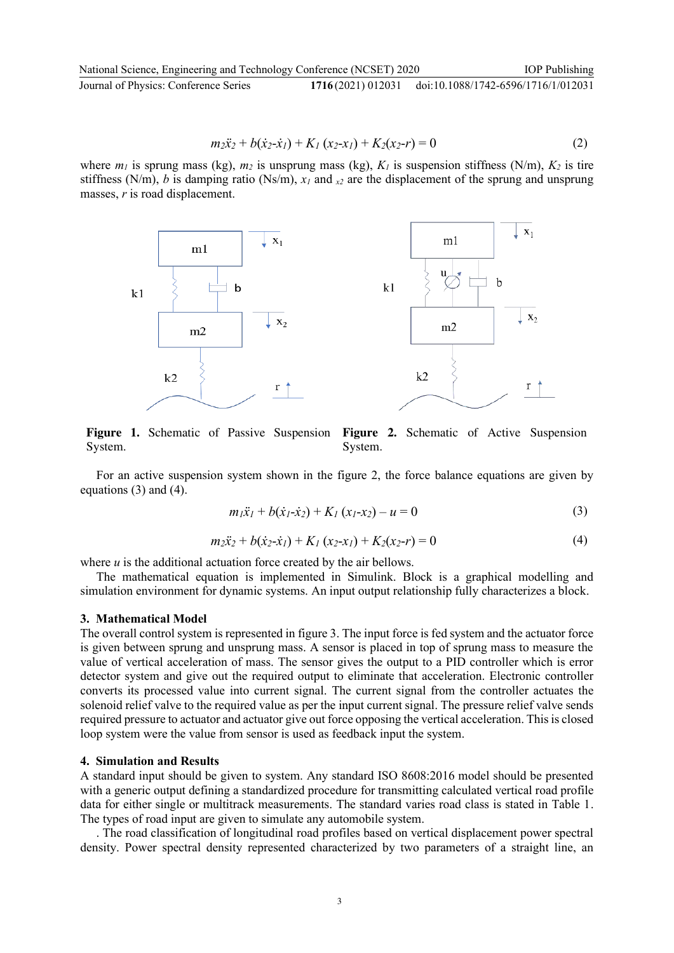National Science, Engineering and Technology Conference (NCSET) 2020 Journal of Physics: Conference Series **1716** (2021) 012031 doi:10.1088/1742-6596/1716/1/012031

$$
m_2\ddot{x}_2 + b(\dot{x}_2 - \dot{x}_1) + K_1(x_2 - x_1) + K_2(x_2 - r) = 0
$$
 (2)

where  $m_l$  is sprung mass (kg),  $m_2$  is unsprung mass (kg),  $K_l$  is suspension stiffness (N/m),  $K_2$  is tire stiffness (N/m), *b* is damping ratio (Ns/m),  $x_l$  and  $x_l$  are the displacement of the sprung and unsprung masses, *r* is road displacement.



**Figure 1.** Schematic of Passive Suspension **Figure 2.** Schematic of Active Suspension System. System.

For an active suspension system shown in the figure 2, the force balance equations are given by equations (3) and (4).

$$
m_1\ddot{x}_1 + b(\dot{x}_1 - \dot{x}_2) + K_1(x_1 - x_2) - u = 0
$$
\n(3)

$$
m_2\ddot{x}_2 + b(\dot{x}_2 - \dot{x}_1) + K_1(x_2 - x_1) + K_2(x_2 - r) = 0
$$
\n(4)

where *u* is the additional actuation force created by the air bellows.

The mathematical equation is implemented in Simulink. Block is a graphical modelling and simulation environment for dynamic systems. An input output relationship fully characterizes a block.

#### **3. Mathematical Model**

The overall control system is represented in figure 3. The input force is fed system and the actuator force is given between sprung and unsprung mass. A sensor is placed in top of sprung mass to measure the value of vertical acceleration of mass. The sensor gives the output to a PID controller which is error detector system and give out the required output to eliminate that acceleration. Electronic controller converts its processed value into current signal. The current signal from the controller actuates the solenoid relief valve to the required value as per the input current signal. The pressure relief valve sends required pressure to actuator and actuator give out force opposing the vertical acceleration. This is closed loop system were the value from sensor is used as feedback input the system.

### **4. Simulation and Results**

A standard input should be given to system. Any standard ISO 8608:2016 model should be presented with a generic output defining a standardized procedure for transmitting calculated vertical road profile data for either single or multitrack measurements. The standard varies road class is stated in Table 1. The types of road input are given to simulate any automobile system.

. The road classification of longitudinal road profiles based on vertical displacement power spectral density. Power spectral density represented characterized by two parameters of a straight line, an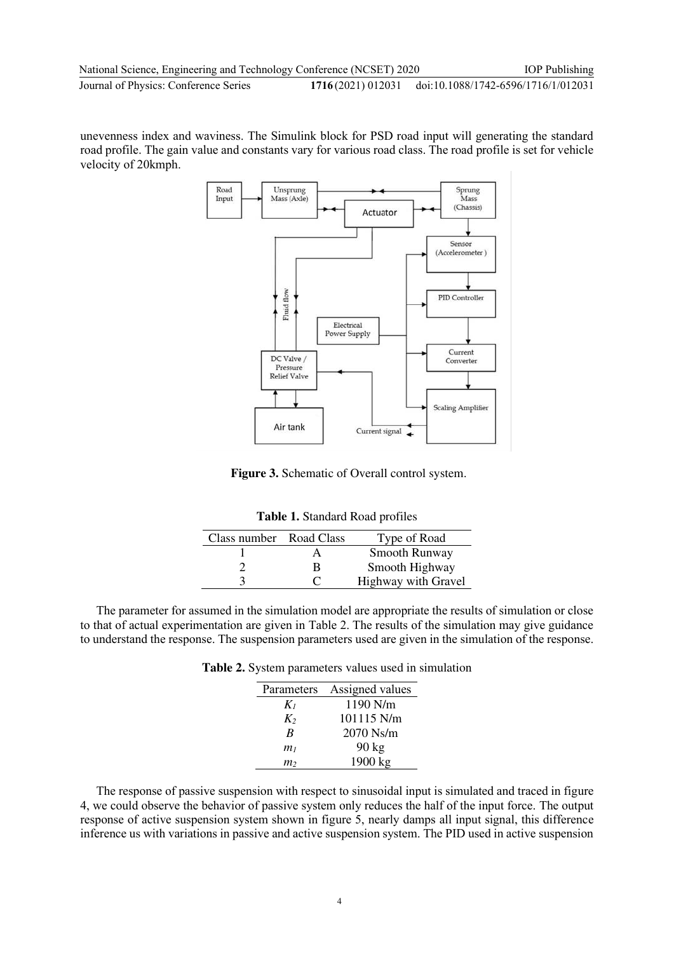unevenness index and waviness. The Simulink block for PSD road input will generating the standard road profile. The gain value and constants vary for various road class. The road profile is set for vehicle velocity of 20kmph.



**Figure 3.** Schematic of Overall control system.

| Table 1. Standard Road profiles |  |
|---------------------------------|--|
|---------------------------------|--|

| Class number Road Class |   | Type of Road        |
|-------------------------|---|---------------------|
|                         |   | Smooth Runway       |
|                         | R | Smooth Highway      |
|                         | C | Highway with Gravel |

The parameter for assumed in the simulation model are appropriate the results of simulation or close to that of actual experimentation are given in Table 2. The results of the simulation may give guidance to understand the response. The suspension parameters used are given in the simulation of the response.

| <b>Table 2.</b> System parameters values used in simulation |  |  |
|-------------------------------------------------------------|--|--|
|-------------------------------------------------------------|--|--|

| Parameters     | Assigned values |
|----------------|-----------------|
| $K_I$          | $1190$ N/m      |
| $K_2$          | 101115 N/m      |
| B              | 2070 Ns/m       |
| m <sub>1</sub> | $90 \text{ kg}$ |
| m2             | 1900 kg         |

The response of passive suspension with respect to sinusoidal input is simulated and traced in figure 4, we could observe the behavior of passive system only reduces the half of the input force. The output response of active suspension system shown in figure 5, nearly damps all input signal, this difference inference us with variations in passive and active suspension system. The PID used in active suspension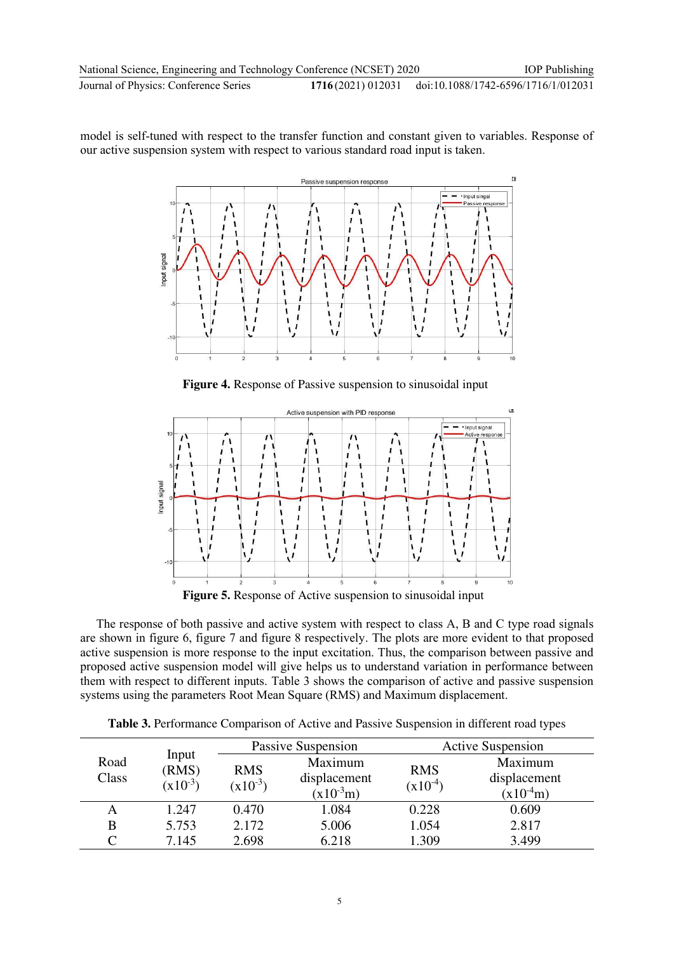model is self-tuned with respect to the transfer function and constant given to variables. Response of our active suspension system with respect to various standard road input is taken.

l7



**Figure 4.** Response of Passive suspension to sinusoidal input



**Figure 5.** Response of Active suspension to sinusoidal input

The response of both passive and active system with respect to class A, B and C type road signals are shown in figure 6, figure 7 and figure 8 respectively. The plots are more evident to that proposed active suspension is more response to the input excitation. Thus, the comparison between passive and proposed active suspension model will give helps us to understand variation in performance between them with respect to different inputs. Table 3 shows the comparison of active and passive suspension systems using the parameters Root Mean Square (RMS) and Maximum displacement.

|               |                                | Passive Suspension         |                                          | <b>Active Suspension</b>   |                                          |
|---------------|--------------------------------|----------------------------|------------------------------------------|----------------------------|------------------------------------------|
| Road<br>Class | Input<br>(RMS)<br>$(x10^{-3})$ | <b>RMS</b><br>$(x10^{-3})$ | Maximum<br>displacement<br>$(x10^{-3}m)$ | <b>RMS</b><br>$(x10^{-4})$ | Maximum<br>displacement<br>$(x10^{-4}m)$ |
| A             | 1.247                          | 0.470                      | 1.084                                    | 0.228                      | 0.609                                    |
| B             | 5.753                          | 2.172                      | 5.006                                    | 1.054                      | 2.817                                    |
|               | 7.145                          | 2.698                      | 6.218                                    | 1.309                      | 3.499                                    |

**Table 3.** Performance Comparison of Active and Passive Suspension in different road types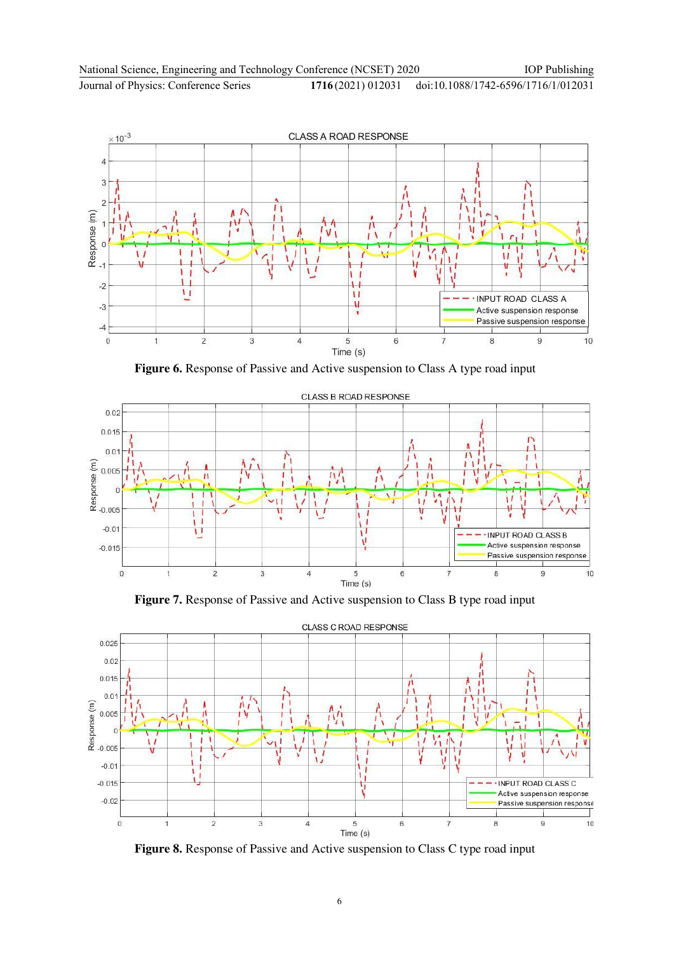

**Figure 6.** Response of Passive and Active suspension to Class A type road input







**Figure 8.** Response of Passive and Active suspension to Class C type road input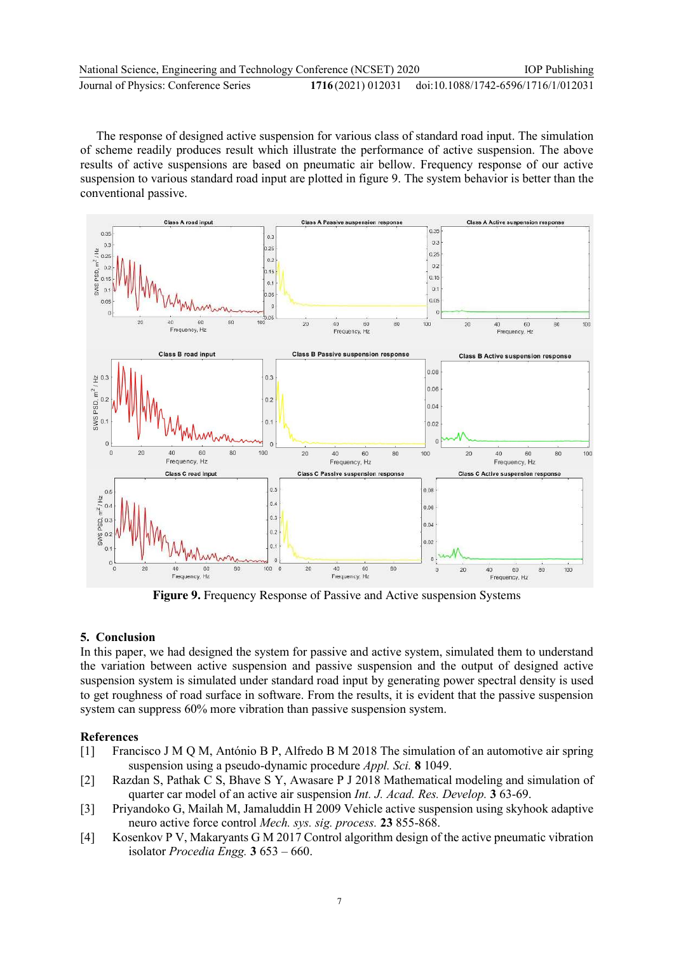| National Science, Engineering and Technology Conference (NCSET) 2020 | <b>IOP</b> Publishing                                 |
|----------------------------------------------------------------------|-------------------------------------------------------|
| Journal of Physics: Conference Series                                | 1716(2021) 012031 doi:10.1088/1742-6596/1716/1/012031 |

The response of designed active suspension for various class of standard road input. The simulation of scheme readily produces result which illustrate the performance of active suspension. The above results of active suspensions are based on pneumatic air bellow. Frequency response of our active suspension to various standard road input are plotted in figure 9. The system behavior is better than the conventional passive.



**Figure 9.** Frequency Response of Passive and Active suspension Systems

## **5. Conclusion**

In this paper, we had designed the system for passive and active system, simulated them to understand the variation between active suspension and passive suspension and the output of designed active suspension system is simulated under standard road input by generating power spectral density is used to get roughness of road surface in software. From the results, it is evident that the passive suspension system can suppress 60% more vibration than passive suspension system.

## **References**

- [1] Francisco J M Q M, António B P, Alfredo B M 2018 The simulation of an automotive air spring suspension using a pseudo-dynamic procedure *Appl. Sci.* **8** 1049.
- [2] Razdan S, Pathak C S, Bhave S Y, Awasare P J 2018 Mathematical modeling and simulation of quarter car model of an active air suspension *Int. J. Acad. Res. Develop.* **3** 63-69.
- [3] Priyandoko G, Mailah M, Jamaluddin H 2009 Vehicle active suspension using skyhook adaptive neuro active force control *Mech. sys. sig. process.* **23** 855-868.
- [4] Kosenkov P V, Makaryants G M 2017 Control algorithm design of the active pneumatic vibration isolator *Procedia Engg.* **3** 653 – 660.